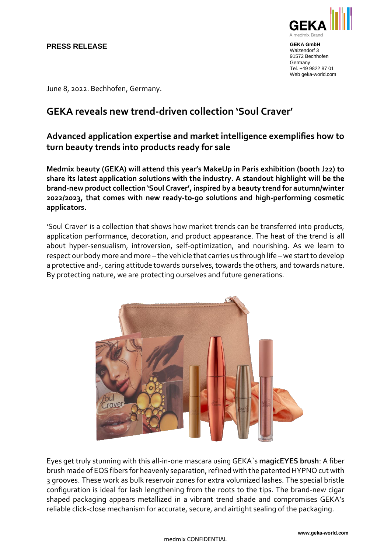### **PRESS RELEASE**



**GEKA GmbH** Waizendorf 3 91572 Bechhofen **Germany** Tel. +49 9822 87 01 Web geka-world.com

June 8, 2022. Bechhofen, Germany.

# **GEKA reveals new trend-driven collection 'Soul Craver'**

## **Advanced application expertise and market intelligence exemplifies how to turn beauty trends into products ready for sale**

**Medmix beauty (GEKA) will attend this year's MakeUp in Paris exhibition (booth J22) to share its latest application solutions with the industry. A standout highlight will be the brand-new product collection 'Soul Craver', inspired by a beauty trend for autumn/winter 2022/2023, that comes with new ready-to-go solutions and high-performing cosmetic applicators.** 

'Soul Craver' is a collection that shows how market trends can be transferred into products, application performance, decoration, and product appearance. The heat of the trend is all about hyper-sensualism, introversion, self-optimization, and nourishing. As we learn to respect our body more and more – the vehicle that carries us through life –we start to develop a protective and-, caring attitude towards ourselves, towards the others, and towards nature. By protecting nature, we are protecting ourselves and future generations.



Eyes get truly stunning with this all-in-one mascara using GEKA`s **magicEYES brush**: A fiber brush made of EOS fibers for heavenly separation, refined with the patented HYPNO cut with 3 grooves. These work as bulk reservoir zones for extra volumized lashes. The special bristle configuration is ideal for lash lengthening from the roots to the tips. The brand-new cigar shaped packaging appears metallized in a vibrant trend shade and compromises GEKA's reliable click-close mechanism for accurate, secure, and airtight sealing of the packaging.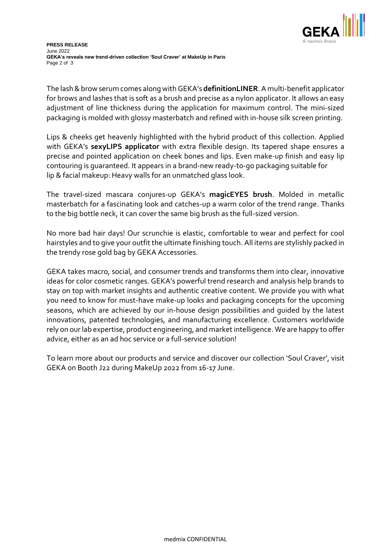

The lash & brow serum comes along with GEKA's **definitionLINER**. A multi-benefit applicator for brows and lashes that is soft as a brush and precise as a nylon applicator. It allows an easy adjustment of line thickness during the application for maximum control. The mini-sized packaging is molded with glossy masterbatch and refined with in-house silk screen printing.

Lips & cheeks get heavenly highlighted with the hybrid product of this collection. Applied with GEKA's **sexyLIPS applicator** with extra flexible design. Its tapered shape ensures a precise and pointed application on cheek bones and lips. Even make-up finish and easy lip contouring is guaranteed. It appears in a brand-new ready-to-go packaging suitable for lip & facial makeup: Heavy walls for an unmatched glass look.

The travel-sized mascara conjures-up GEKA's **magicEYES brush**. Molded in metallic masterbatch for a fascinating look and catches-up a warm color of the trend range. Thanks to the big bottle neck, it can cover the same big brush as the full-sized version.

No more bad hair days! Our scrunchie is elastic, comfortable to wear and perfect for cool hairstyles and to give your outfit the ultimate finishing touch. All items are stylishly packed in the trendy rose gold bag by GEKA Accessories.

GEKA takes macro, social, and consumer trends and transforms them into clear, innovative ideas for color cosmetic ranges. GEKA's powerful trend research and analysis help brands to stay on top with market insights and authentic creative content. We provide you with what you need to know for must-have make-up looks and packaging concepts for the upcoming seasons, which are achieved by our in-house design possibilities and guided by the latest innovations, patented technologies, and manufacturing excellence. Customers worldwide rely on our lab expertise, product engineering, and market intelligence. We are happy to offer advice, either as an ad hoc service or a full-service solution!

To learn more about our products and service and discover our collection 'Soul Craver', visit GEKA on Booth J22 during MakeUp 2022 from 16-17 June.